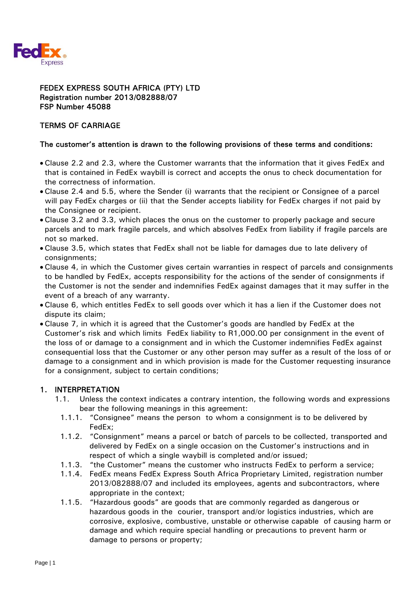

FEDEX EXPRESS SOUTH AFRICA (PTY) LTD Registration number 2013/082888/07 FSP Number 45088

### TERMS OF CARRIAGE

#### The customer's attention is drawn to the following provisions of these terms and conditions:

- Clause 2.2 and 2.3, where the Customer warrants that the information that it gives FedEx and that is contained in FedEx waybill is correct and accepts the onus to check documentation for the correctness of information.
- Clause 2.4 and 5.5, where the Sender (i) warrants that the recipient or Consignee of a parcel will pay FedEx charges or (ii) that the Sender accepts liability for FedEx charges if not paid by the Consignee or recipient.
- Clause 3.2 and 3.3, which places the onus on the customer to properly package and secure parcels and to mark fragile parcels, and which absolves FedEx from liability if fragile parcels are not so marked.
- Clause 3.5, which states that FedEx shall not be liable for damages due to late delivery of consignments;
- Clause 4, in which the Customer gives certain warranties in respect of parcels and consignments to be handled by FedEx, accepts responsibility for the actions of the sender of consignments if the Customer is not the sender and indemnifies FedEx against damages that it may suffer in the event of a breach of any warranty.
- Clause 6, which entitles FedEx to sell goods over which it has a lien if the Customer does not dispute its claim;
- Clause 7, in which it is agreed that the Customer's goods are handled by FedEx at the Customer's risk and which limits FedEx liability to R1,000.00 per consignment in the event of the loss of or damage to a consignment and in which the Customer indemnifies FedEx against consequential loss that the Customer or any other person may suffer as a result of the loss of or damage to a consignment and in which provision is made for the Customer requesting insurance for a consignment, subject to certain conditions;

#### 1. INTERPRETATION

- 1.1. Unless the context indicates a contrary intention, the following words and expressions bear the following meanings in this agreement:
	- 1.1.1. "Consignee" means the person to whom a consignment is to be delivered by FedEx;
	- 1.1.2. "Consignment" means a parcel or batch of parcels to be collected, transported and delivered by FedEx on a single occasion on the Customer's instructions and in respect of which a single waybill is completed and/or issued;
	- 1.1.3. "the Customer" means the customer who instructs FedEx to perform a service;
	- 1.1.4. FedEx means FedEx Express South Africa Proprietary Limited, registration number 2013/082888/07 and included its employees, agents and subcontractors, where appropriate in the context;
	- 1.1.5. "Hazardous goods" are goods that are commonly regarded as dangerous or hazardous goods in the courier, transport and/or logistics industries, which are corrosive, explosive, combustive, unstable or otherwise capable of causing harm or damage and which require special handling or precautions to prevent harm or damage to persons or property;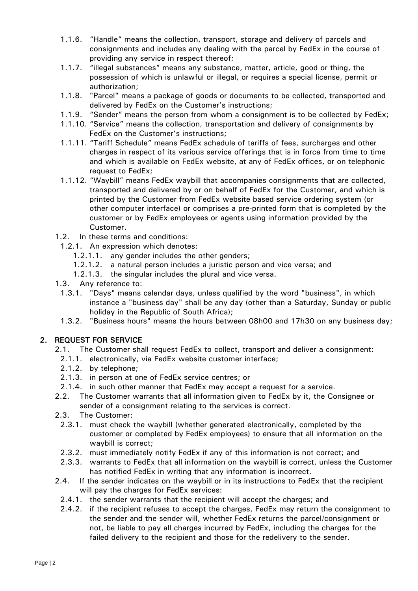- 1.1.6. "Handle" means the collection, transport, storage and delivery of parcels and consignments and includes any dealing with the parcel by FedEx in the course of providing any service in respect thereof;
- 1.1.7. "illegal substances" means any substance, matter, article, good or thing, the possession of which is unlawful or illegal, or requires a special license, permit or authorization;
- 1.1.8. "Parcel" means a package of goods or documents to be collected, transported and delivered by FedEx on the Customer's instructions;
- 1.1.9. "Sender" means the person from whom a consignment is to be collected by FedEx;
- 1.1.10. "Service" means the collection, transportation and delivery of consignments by FedEx on the Customer's instructions;
- 1.1.11. "Tariff Schedule" means FedEx schedule of tariffs of fees, surcharges and other charges in respect of its various service offerings that is in force from time to time and which is available on FedEx website, at any of FedEx offices, or on telephonic request to FedEx;
- 1.1.12. "Waybill" means FedEx waybill that accompanies consignments that are collected, transported and delivered by or on behalf of FedEx for the Customer, and which is printed by the Customer from FedEx website based service ordering system (or other computer interface) or comprises a pre-printed form that is completed by the customer or by FedEx employees or agents using information provided by the Customer.
- 1.2. In these terms and conditions:
- 1.2.1. An expression which denotes:
	- 1.2.1.1. any gender includes the other genders;
	- 1.2.1.2. a natural person includes a juristic person and vice versa; and
	- 1.2.1.3. the singular includes the plural and vice versa.
- 1.3. Any reference to:
	- 1.3.1. "Days" means calendar days, unless qualified by the word "business", in which instance a "business day" shall be any day (other than a Saturday, Sunday or public holiday in the Republic of South Africa);
	- 1.3.2. "Business hours" means the hours between 08h00 and 17h30 on any business day;

## 2. REQUEST FOR SERVICE

- 2.1. The Customer shall request FedEx to collect, transport and deliver a consignment:
	- 2.1.1. electronically, via FedEx website customer interface;
	- 2.1.2. by telephone;
	- 2.1.3. in person at one of FedEx service centres; or
	- 2.1.4. in such other manner that FedEx may accept a request for a service.
- 2.2. The Customer warrants that all information given to FedEx by it, the Consignee or sender of a consignment relating to the services is correct.
- 2.3. The Customer:
	- 2.3.1. must check the waybill (whether generated electronically, completed by the customer or completed by FedEx employees) to ensure that all information on the waybill is correct;
	- 2.3.2. must immediately notify FedEx if any of this information is not correct; and
	- 2.3.3. warrants to FedEx that all information on the waybill is correct, unless the Customer has notified FedEx in writing that any information is incorrect.
- 2.4. If the sender indicates on the waybill or in its instructions to FedEx that the recipient will pay the charges for FedEx services:
- 2.4.1. the sender warrants that the recipient will accept the charges; and
- 2.4.2. if the recipient refuses to accept the charges, FedEx may return the consignment to the sender and the sender will, whether FedEx returns the parcel/consignment or not, be liable to pay all charges incurred by FedEx, including the charges for the failed delivery to the recipient and those for the redelivery to the sender.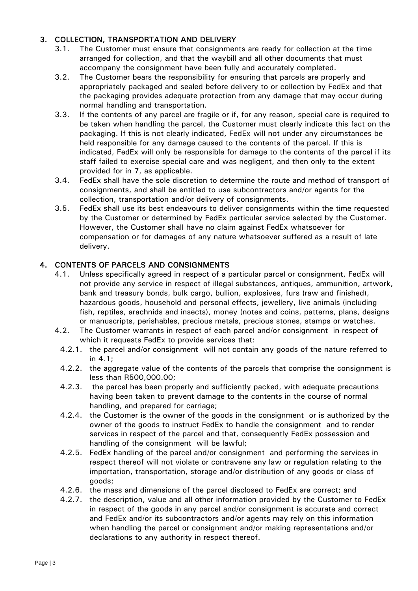## 3. COLLECTION, TRANSPORTATION AND DELIVERY

- 3.1. The Customer must ensure that consignments are ready for collection at the time arranged for collection, and that the waybill and all other documents that must accompany the consignment have been fully and accurately completed.
- 3.2. The Customer bears the responsibility for ensuring that parcels are properly and appropriately packaged and sealed before delivery to or collection by FedEx and that the packaging provides adequate protection from any damage that may occur during normal handling and transportation.
- 3.3. If the contents of any parcel are fragile or if, for any reason, special care is required to be taken when handling the parcel, the Customer must clearly indicate this fact on the packaging. If this is not clearly indicated, FedEx will not under any circumstances be held responsible for any damage caused to the contents of the parcel. If this is indicated, FedEx will only be responsible for damage to the contents of the parcel if its staff failed to exercise special care and was negligent, and then only to the extent provided for in 7, as applicable.
- 3.4. FedEx shall have the sole discretion to determine the route and method of transport of consignments, and shall be entitled to use subcontractors and/or agents for the collection, transportation and/or delivery of consignments.
- 3.5. FedEx shall use its best endeavours to deliver consignments within the time requested by the Customer or determined by FedEx particular service selected by the Customer. However, the Customer shall have no claim against FedEx whatsoever for compensation or for damages of any nature whatsoever suffered as a result of late delivery.

# 4. CONTENTS OF PARCELS AND CONSIGNMENTS

- 4.1. Unless specifically agreed in respect of a particular parcel or consignment, FedEx will not provide any service in respect of illegal substances, antiques, ammunition, artwork, bank and treasury bonds, bulk cargo, bullion, explosives, furs (raw and finished), hazardous goods, household and personal effects, jewellery, live animals (including fish, reptiles, arachnids and insects), money (notes and coins, patterns, plans, designs or manuscripts, perishables, precious metals, precious stones, stamps or watches.
- 4.2. The Customer warrants in respect of each parcel and/or consignment in respect of which it requests FedEx to provide services that:
	- 4.2.1. the parcel and/or consignment will not contain any goods of the nature referred to in 4.1;
	- 4.2.2. the aggregate value of the contents of the parcels that comprise the consignment is less than R500,000.00;
	- 4.2.3. the parcel has been properly and sufficiently packed, with adequate precautions having been taken to prevent damage to the contents in the course of normal handling, and prepared for carriage;
	- 4.2.4. the Customer is the owner of the goods in the consignment or is authorized by the owner of the goods to instruct FedEx to handle the consignment and to render services in respect of the parcel and that, consequently FedEx possession and handling of the consignment will be lawful;
	- 4.2.5. FedEx handling of the parcel and/or consignment and performing the services in respect thereof will not violate or contravene any law or regulation relating to the importation, transportation, storage and/or distribution of any goods or class of goods;
	- 4.2.6. the mass and dimensions of the parcel disclosed to FedEx are correct; and
	- 4.2.7. the description, value and all other information provided by the Customer to FedEx in respect of the goods in any parcel and/or consignment is accurate and correct and FedEx and/or its subcontractors and/or agents may rely on this information when handling the parcel or consignment and/or making representations and/or declarations to any authority in respect thereof.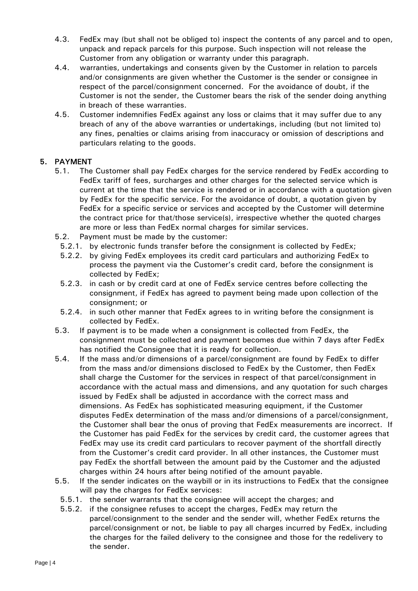- 4.3. FedEx may (but shall not be obliged to) inspect the contents of any parcel and to open, unpack and repack parcels for this purpose. Such inspection will not release the Customer from any obligation or warranty under this paragraph.
- 4.4. warranties, undertakings and consents given by the Customer in relation to parcels and/or consignments are given whether the Customer is the sender or consignee in respect of the parcel/consignment concerned. For the avoidance of doubt, if the Customer is not the sender, the Customer bears the risk of the sender doing anything in breach of these warranties.
- 4.5. Customer indemnifies FedEx against any loss or claims that it may suffer due to any breach of any of the above warranties or undertakings, including (but not limited to) any fines, penalties or claims arising from inaccuracy or omission of descriptions and particulars relating to the goods.

## 5. PAYMENT

- 5.1. The Customer shall pay FedEx charges for the service rendered by FedEx according to FedEx tariff of fees, surcharges and other charges for the selected service which is current at the time that the service is rendered or in accordance with a quotation given by FedEx for the specific service. For the avoidance of doubt, a quotation given by FedEx for a specific service or services and accepted by the Customer will determine the contract price for that/those service(s), irrespective whether the quoted charges are more or less than FedEx normal charges for similar services.
- 5.2. Payment must be made by the customer:
- 5.2.1. by electronic funds transfer before the consignment is collected by FedEx;
- 5.2.2. by giving FedEx employees its credit card particulars and authorizing FedEx to process the payment via the Customer's credit card, before the consignment is collected by FedEx;
- 5.2.3. in cash or by credit card at one of FedEx service centres before collecting the consignment, if FedEx has agreed to payment being made upon collection of the consignment; or
- 5.2.4. in such other manner that FedEx agrees to in writing before the consignment is collected by FedEx.
- 5.3. If payment is to be made when a consignment is collected from FedEx, the consignment must be collected and payment becomes due within 7 days after FedEx has notified the Consignee that it is ready for collection.
- 5.4. If the mass and/or dimensions of a parcel/consignment are found by FedEx to differ from the mass and/or dimensions disclosed to FedEx by the Customer, then FedEx shall charge the Customer for the services in respect of that parcel/consignment in accordance with the actual mass and dimensions, and any quotation for such charges issued by FedEx shall be adjusted in accordance with the correct mass and dimensions. As FedEx has sophisticated measuring equipment, if the Customer disputes FedEx determination of the mass and/or dimensions of a parcel/consignment, the Customer shall bear the onus of proving that FedEx measurements are incorrect. If the Customer has paid FedEx for the services by credit card, the customer agrees that FedEx may use its credit card particulars to recover payment of the shortfall directly from the Customer's credit card provider. In all other instances, the Customer must pay FedEx the shortfall between the amount paid by the Customer and the adjusted charges within 24 hours after being notified of the amount payable.
- 5.5. If the sender indicates on the waybill or in its instructions to FedEx that the consignee will pay the charges for FedEx services:
- 5.5.1. the sender warrants that the consignee will accept the charges; and
- 5.5.2. if the consignee refuses to accept the charges, FedEx may return the parcel/consignment to the sender and the sender will, whether FedEx returns the parcel/consignment or not, be liable to pay all charges incurred by FedEx, including the charges for the failed delivery to the consignee and those for the redelivery to the sender.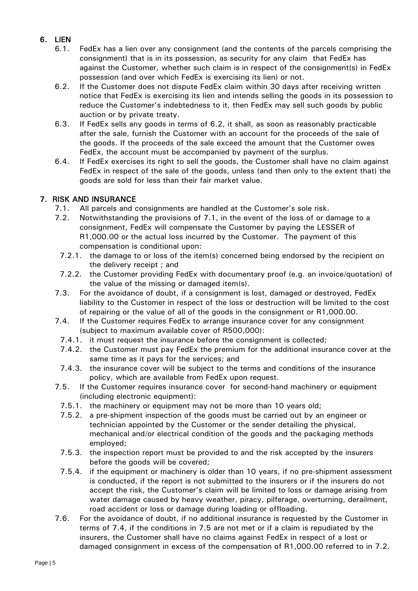# 6. LIEN

- 6.1. FedEx has a lien over any consignment (and the contents of the parcels comprising the consignment) that is in its possession, as security for any claim that FedEx has against the Customer, whether such claim is in respect of the consignment(s) in FedEx possession (and over which FedEx is exercising its lien) or not.
- 6.2. If the Customer does not dispute FedEx claim within 30 days after receiving written notice that FedEx is exercising its lien and intends selling the goods in its possession to reduce the Customer's indebtedness to it, then FedEx may sell such goods by public auction or by private treaty.
- 6.3. If FedEx sells any goods in terms of 6.2, it shall, as soon as reasonably practicable after the sale, furnish the Customer with an account for the proceeds of the sale of the goods. If the proceeds of the sale exceed the amount that the Customer owes FedEx, the account must be accompanied by payment of the surplus.
- 6.4. If FedEx exercises its right to sell the goods, the Customer shall have no claim against FedEx in respect of the sale of the goods, unless (and then only to the extent that) the goods are sold for less than their fair market value.

# 7. RISK AND INSURANCE

- 7.1. All parcels and consignments are handled at the Customer's sole risk.
- 7.2. Notwithstanding the provisions of 7.1, in the event of the loss of or damage to a consignment, FedEx will compensate the Customer by paying the LESSER of R1,000.00 or the actual loss incurred by the Customer. The payment of this compensation is conditional upon:
	- 7.2.1. the damage to or loss of the item(s) concerned being endorsed by the recipient on the delivery receipt ; and
	- 7.2.2. the Customer providing FedEx with documentary proof (e.g. an invoice/quotation) of the value of the missing or damaged item(s).
- 7.3. For the avoidance of doubt, if a consignment is lost, damaged or destroyed, FedEx liability to the Customer in respect of the loss or destruction will be limited to the cost of repairing or the value of all of the goods in the consignment or R1,000.00.
- 7.4. If the Customer requires FedEx to arrange insurance cover for any consignment (subject to maximum available cover of R500,000):
- 7.4.1. it must request the insurance before the consignment is collected;
- 7.4.2. the Customer must pay FedEx the premium for the additional insurance cover at the same time as it pays for the services; and
- 7.4.3. the insurance cover will be subject to the terms and conditions of the insurance policy, which are available from FedEx upon request.
- 7.5. If the Customer requires insurance cover for second-hand machinery or equipment (including electronic equipment):
	- 7.5.1. the machinery or equipment may not be more than 10 years old;
	- 7.5.2. a pre-shipment inspection of the goods must be carried out by an engineer or technician appointed by the Customer or the sender detailing the physical, mechanical and/or electrical condition of the goods and the packaging methods employed;
	- 7.5.3. the inspection report must be provided to and the risk accepted by the insurers before the goods will be covered;
	- 7.5.4. if the equipment or machinery is older than 10 years, if no pre-shipment assessment is conducted, if the report is not submitted to the insurers or if the insurers do not accept the risk, the Customer's claim will be limited to loss or damage arising from water damage caused by heavy weather, piracy, pilferage, overturning, derailment, road accident or loss or damage during loading or offloading.
- 7.6. For the avoidance of doubt, if no additional insurance is requested by the Customer in terms of 7.4, if the conditions in 7.5 are not met or if a claim is repudiated by the insurers, the Customer shall have no claims against FedEx in respect of a lost or damaged consignment in excess of the compensation of R1,000.00 referred to in 7.2.